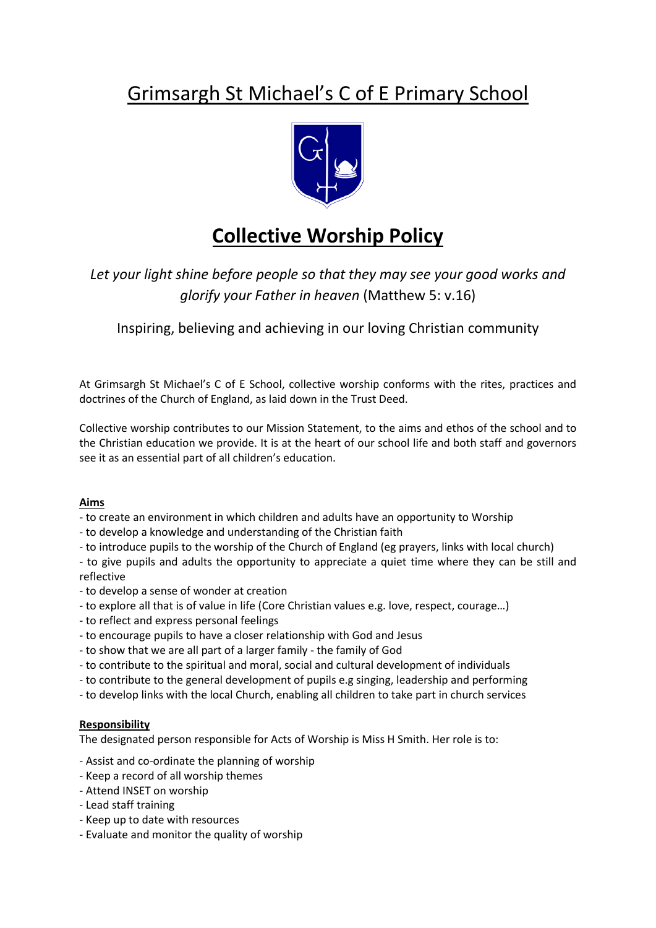# Grimsargh St Michael's C of E Primary School



## **Collective Worship Policy**

Let your light shine before people so that they may see your good works and *glorify your Father in heaven* (Matthew 5: v.16)

Inspiring, believing and achieving in our loving Christian community

At Grimsargh St Michael's C of E School, collective worship conforms with the rites, practices and doctrines of the Church of England, as laid down in the Trust Deed.

Collective worship contributes to our Mission Statement, to the aims and ethos of the school and to the Christian education we provide. It is at the heart of our school life and both staff and governors see it as an essential part of all children's education.

## **Aims**

- to create an environment in which children and adults have an opportunity to Worship
- to develop a knowledge and understanding of the Christian faith
- to introduce pupils to the worship of the Church of England (eg prayers, links with local church)

- to give pupils and adults the opportunity to appreciate a quiet time where they can be still and reflective

- to develop a sense of wonder at creation
- to explore all that is of value in life (Core Christian values e.g. love, respect, courage…)
- to reflect and express personal feelings
- to encourage pupils to have a closer relationship with God and Jesus
- to show that we are all part of a larger family the family of God
- to contribute to the spiritual and moral, social and cultural development of individuals
- to contribute to the general development of pupils e.g singing, leadership and performing
- to develop links with the local Church, enabling all children to take part in church services

## **Responsibility**

The designated person responsible for Acts of Worship is Miss H Smith. Her role is to:

- Assist and co-ordinate the planning of worship
- Keep a record of all worship themes
- Attend INSET on worship
- Lead staff training
- Keep up to date with resources
- Evaluate and monitor the quality of worship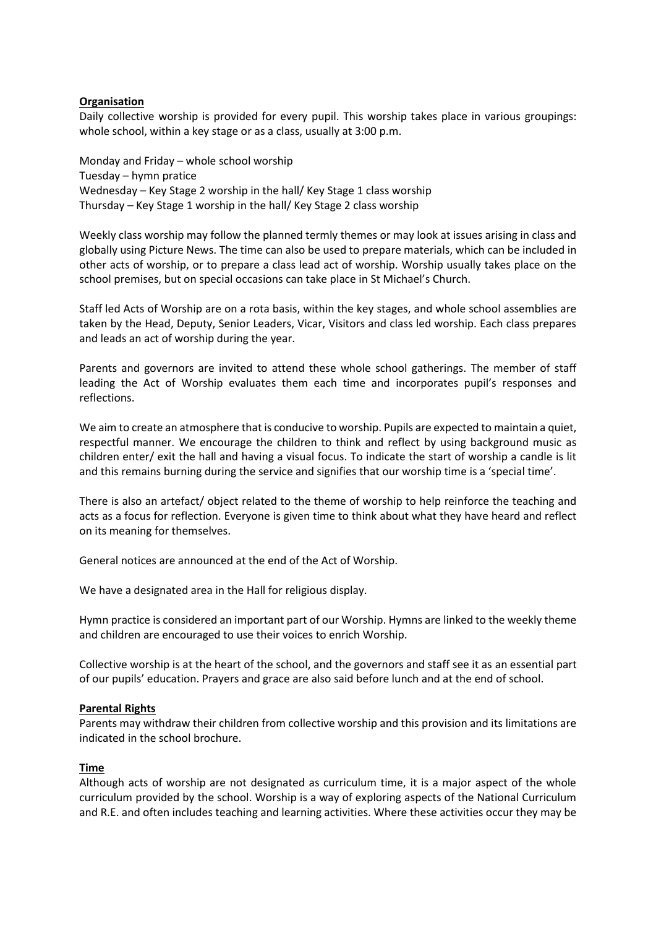### **Organisation**

Daily collective worship is provided for every pupil. This worship takes place in various groupings: whole school, within a key stage or as a class, usually at 3:00 p.m.

Monday and Friday – whole school worship Tuesday – hymn pratice Wednesday – Key Stage 2 worship in the hall/ Key Stage 1 class worship Thursday – Key Stage 1 worship in the hall/ Key Stage 2 class worship

Weekly class worship may follow the planned termly themes or may look at issues arising in class and globally using Picture News. The time can also be used to prepare materials, which can be included in other acts of worship, or to prepare a class lead act of worship. Worship usually takes place on the school premises, but on special occasions can take place in St Michael's Church.

Staff led Acts of Worship are on a rota basis, within the key stages, and whole school assemblies are taken by the Head, Deputy, Senior Leaders, Vicar, Visitors and class led worship. Each class prepares and leads an act of worship during the year.

Parents and governors are invited to attend these whole school gatherings. The member of staff leading the Act of Worship evaluates them each time and incorporates pupil's responses and reflections.

We aim to create an atmosphere that is conducive to worship. Pupils are expected to maintain a quiet, respectful manner. We encourage the children to think and reflect by using background music as children enter/ exit the hall and having a visual focus. To indicate the start of worship a candle is lit and this remains burning during the service and signifies that our worship time is a 'special time'.

There is also an artefact/ object related to the theme of worship to help reinforce the teaching and acts as a focus for reflection. Everyone is given time to think about what they have heard and reflect on its meaning for themselves.

General notices are announced at the end of the Act of Worship.

We have a designated area in the Hall for religious display.

Hymn practice is considered an important part of our Worship. Hymns are linked to the weekly theme and children are encouraged to use their voices to enrich Worship.

Collective worship is at the heart of the school, and the governors and staff see it as an essential part of our pupils' education. Prayers and grace are also said before lunch and at the end of school.

### **Parental Rights**

Parents may withdraw their children from collective worship and this provision and its limitations are indicated in the school brochure.

#### **Time**

Although acts of worship are not designated as curriculum time, it is a major aspect of the whole curriculum provided by the school. Worship is a way of exploring aspects of the National Curriculum and R.E. and often includes teaching and learning activities. Where these activities occur they may be